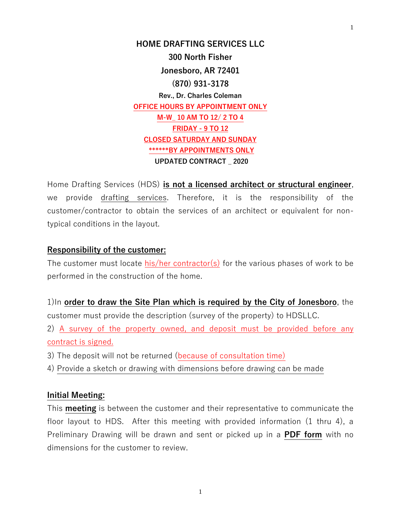**HOME DRAFTING SERVICES LLC 300 North Fisher Jonesboro, AR 72401 (870) 931-3178 Rev., Dr. Charles Coleman OFFICE HOURS BY APPOINTMENT ONLY M-W\_ 10 AM TO 12/ 2 TO 4 FRIDAY - 9 TO 12 CLOSED SATURDAY AND SUNDAY \*\*\*\*\*\*BY APPOINTMENTS ONLY UPDATED CONTRACT \_ 2020**

Home Drafting Services (HDS) **is not a licensed architect or structural engineer**, we provide drafting services. Therefore, it is the responsibility of the customer/contractor to obtain the services of an architect or equivalent for nontypical conditions in the layout.

#### **Responsibility of the customer:**

The customer must locate his/her contractor(s) for the various phases of work to be performed in the construction of the home.

1)In **order to draw the Site Plan which is required by the City of Jonesboro**, the customer must provide the description (survey of the property) to HDSLLC.

2) A survey of the property owned, and deposit must be provided before any contract is signed.

- 3) The deposit will not be returned (because of consultation time)
- 4) Provide a sketch or drawing with dimensions before drawing can be made

#### **Initial Meeting:**

This **meeting** is between the customer and their representative to communicate the floor layout to HDS. After this meeting with provided information (1 thru 4), a Preliminary Drawing will be drawn and sent or picked up in a **PDF form** with no dimensions for the customer to review.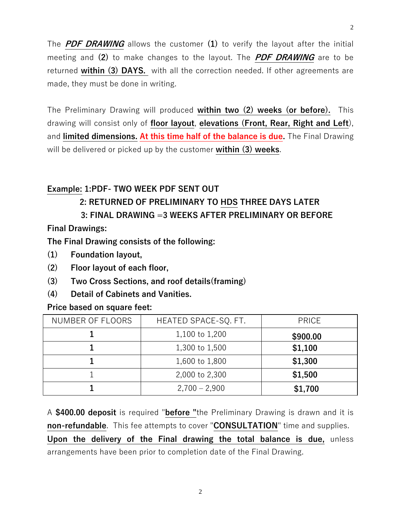The **PDF DRAWING** allows the customer **(1)** to verify the layout after the initial meeting and **(2)** to make changes to the layout. The **PDF DRAWING** are to be returned **within (3) DAYS.** with all the correction needed. If other agreements are made, they must be done in writing.

The Preliminary Drawing will produced **within two (2) weeks (or before).** This drawing will consist only of **floor layout**, **elevations (Front, Rear, Right and Left**), and **limited dimensions. At this time half of the balance is due.** The Final Drawing will be delivered or picked up by the customer **within (3) weeks**.

## **Example: 1:PDF- TWO WEEK PDF SENT OUT**

# **2: RETURNED OF PRELIMINARY TO HDS THREE DAYS LATER**

## **3: FINAL DRAWING =3 WEEKS AFTER PRELIMINARY OR BEFORE**

**Final Drawings:**

**The Final Drawing consists of the following:**

- **(1) Foundation layout,**
- **(2) Floor layout of each floor,**
- **(3) Two Cross Sections, and roof details(framing)**
- **(4) Detail of Cabinets and Vanities.**

### **Price based on square feet:**

| NUMBER OF FLOORS | HEATED SPACE-SQ. FT. | <b>PRICE</b> |
|------------------|----------------------|--------------|
|                  | 1,100 to 1,200       | \$900.00     |
|                  | 1,300 to 1,500       | \$1,100      |
|                  | 1,600 to 1,800       | \$1,300      |
|                  | 2,000 to 2,300       | \$1,500      |
|                  | $2,700 - 2,900$      | \$1,700      |

A **\$400.00 deposit** is required "**before "**the Preliminary Drawing is drawn and it is **non-refundable**. This fee attempts to cover "**CONSULTATION**" time and supplies. **Upon the delivery of the Final drawing the total balance is due,** unless arrangements have been prior to completion date of the Final Drawing.